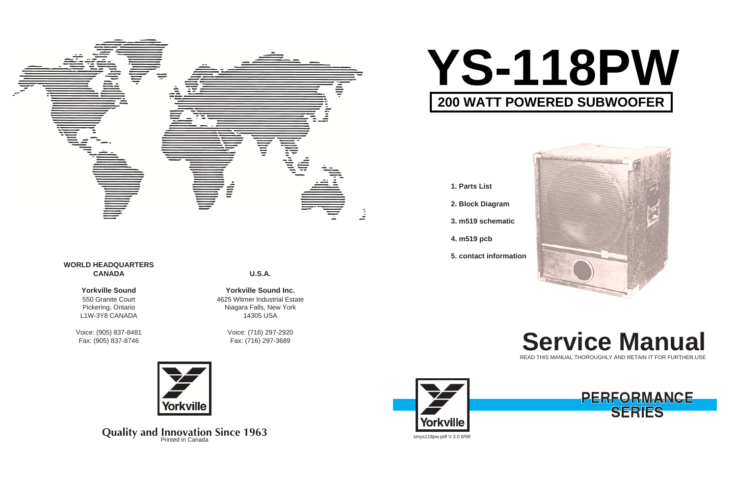**U.S.A.**

**Yorkville Sound Inc.** 4625 Witmer Industrial Estate Niagara Falls, New York 14305 USA

> Voice: (716) 297-2920 Fax: (716) 297-3689





**Quality and Innovation Since 1963** 

# **WORLD HEADQUARTERS CANADA**

# **Yorkville Sound**

550 Granite Court Pickering, Ontario L1W-3Y8 CANADA

# **Service Manual** READ THIS MANUAL THOROUGHLY AND RETAIN IT FOR FURTHER USE



Voice: (905) 837-8481 Fax: (905) 837-8746



- **1. Parts List**
- **2. Block Diagram**
- **3. m519 schematic**
- **4. m519 pcb**
- **5. contact information**





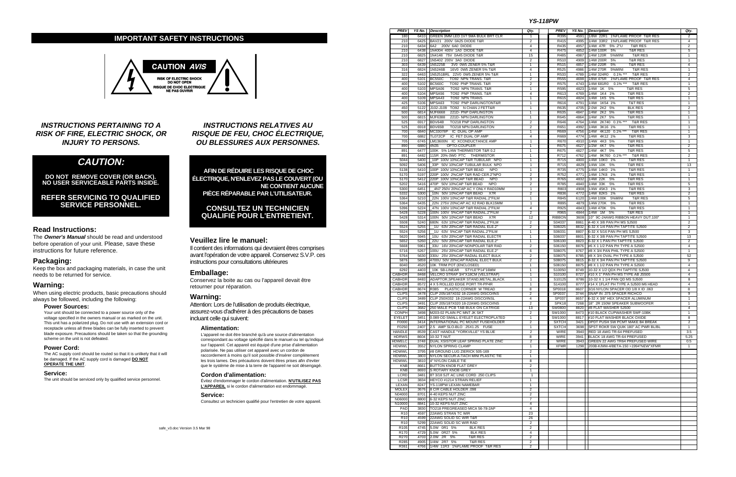**INSTRUCTIONS PERTAINING TO A RISK OF FIRE, ELECTRIC SHOCK, OR INJURY TO PERSONS.**

# **CAUTION:**

**DO NOT REMOVE COVER (OR BACK). NO USER SERVICEABLE PARTS INSIDE.**

**REFER SERVICING TO QUALIFIED SERVICE PERSONNEL.**

# **Read Instructions:**

The **Owner's Manual** should be read and understood before operation of your unit. Please, save these instructions for future reference.

# **Packaging:**

Keep the box and packaging materials, in case the unit needs to be returned for service.

## **Warning:**

When using electric products, basic precautions should always be followed, including the following:

#### **Power Sources:**

Your unit should be connected to a power source only of the voltage specified in the owners manual or as marked on the unit. This unit has a polarized plug. Do not use with an extension cord or receptacle unless all three blades can be fully inserted to prevent blade exposure. Precautions should be taken so that the grounding scheme on the unit is not defeated.

Attention: Lors de l'utilisation de produits électrique, assurez-vous d'adhérer à des précautions de bases incluant celle qui suivent:

#### **Power Cord:**

The AC supply cord should be routed so that it is unlikely that it will be damaged. If the AC supply cord is damaged **DO NOT OPERATE THE UNIT**.

#### **Service:**

The unit should be serviced only by qualified service personnel.

**INSTRUCTIONS RELATIVES AU RISQUE DE FEU, CHOC ÉLECTRIQUE, OU BLESSURES AUX PERSONNES.**

**AFIN DE RÉDUIRE LES RISQUE DE CHOC ÉLECTRIQUE, N'ENLEVEZ PAS LE COUVERT (OU NE CONTIENT AUCUNE PIÈCE RÉPARABLE PAR L'UTILISATEUR.**

# **CONSULTEZ UN TECHNICIEN QUALIFIÉ POUR L'ENTRETIENT.**

### **Veuillez lire le manuel:**

Il contient des informations qui devraient êtres comprises avant l'opération de votre appareil. Conservez S.V.P. ces instructions pour consultations ultérieures

#### **Emballage:**

Conservez la boite au cas ou l'appareil devait être retourner pour réparation.

# **Warning:**

#### **Alimentation:**

L'appareil ne doit être branché qu'à une source d'alimentation correspondant au voltage spécifié dans le manuel ou tel qu'indiqué sur l'appareil. Cet appareil est équipé d'une prise d'alimentation polarisée. Ne pas utiliser cet appareil avec un cordon de raccordement à moins qu'il soit possible d'insérer complètement les trois lames. Des précautions doivent êtres prises afin d'eviter que le système de mise à la terre de l'appareil ne soit désengagé.

#### **Cordon d'alimentation:**

Évitez d'endommager le cordon d'alimentation. **N'UTILISEZ PAS L'APPAREIL** si le cordon d'alimentation est endommagé.

#### **Service:**

Consultez un technicien qualifié pour l'entretien de votre appareil.

# **IMPORTANT SAFETY INSTRUCTIONS**



#### **YS-118PW**

| <b>PREV</b>                   |              | YS No. Description                                                             | Qty.                             | <b>PREV</b>         |              | YS No. Description                                                         | Qty.                         |
|-------------------------------|--------------|--------------------------------------------------------------------------------|----------------------------------|---------------------|--------------|----------------------------------------------------------------------------|------------------------------|
| 180                           |              | 6410 GREEN 3MM LED 1V7 5MA BULK BRT CLR                                        | $\mathbf{1}$                     | R395                | 4591         | 1/8W 22R1 1%FLAME PROOF T&R RES                                            | 2                            |
| 210                           | 6425         | BAV21 200V 0A25 DIODE T&R                                                      | $\overline{2}$                   | R415                | 4995         | 1/4W 33R2 1%FLAME PROOF T&R RES                                            | $\overline{4}$               |
| 210                           | 6434         | 6A2 200V 6A0 DIODE                                                             | $\overline{4}$                   | R435                | 4957         | 1/4W 47R 5% .2"U<br><b>T&amp;R RES</b>                                     | $\overline{2}$               |
| 210                           | 6438         | 1N4004 400V 1A0 DIODE T&R                                                      | $\overline{4}$                   | R475                | 4852         | 1/4W 100R<br>5%<br><b>T&amp;R RES</b>                                      | 5                            |
| 210<br>210                    | 6825<br>6827 | 1N4148 75V 0A45 DIODE T&R<br>1N5402 200V 3A0 DIODE                             | 15<br>$\overline{2}$             | R485<br>R510        | 4987<br>4909 | 1/4W 120R<br>5%MINI<br>T&R RES<br>1/4W 200R<br><b>T&amp;R RES</b><br>5%    | $\mathbf{1}$<br>$\mathbf{1}$ |
| 303                           | 6439         | 1N5225B<br>3V0 0W5 ZENER 5% T&R                                                | $\mathbf{1}$                     | R515                | 4857         | 1/4W 220R<br>5%<br><b>T&amp;R RES</b>                                      | $\overline{4}$               |
| 316                           | 6824         | 1N5246B<br>16V0 0W5 ZENER 5% T&R                                               | 4                                | R525                | 4986         | 1/4W 270R<br>5%MINI<br>T&R RES                                             | $\mathbf{1}$                 |
| 322                           | 6463         | 1N5251BRL 22V0 0W5 ZENER 5% T&R                                                | $\mathbf{1}$                     | R533                | 4789         | 1/4W 324R0<br>$0.1\%$ ***<br><b>T&amp;R RES</b>                            | $\overline{2}$               |
| 400                           | 5101         | <b>BC550C</b><br>TO92 NPN TRANS. T&R                                           | $\overline{2}$                   | R555                | 4698         | 1/8W 475R 1%FLAME PROOF T&R RES                                            | $\overline{4}$               |
| 400                           | 5102         | <b>BC560C</b><br>TO92 PNP TRANS. T&R                                           | $\overline{2}$                   | R575                | 4743         | 0.1% *** T&R RES<br>1/4W 681R0                                             | $\mathbf{1}$                 |
| 400                           | 5103         | MPSA06<br>TO92 NPN TRANS. T&R                                                  | $\mathbf{1}$                     | R595                | 4823         | 1/4W 1K 5%<br><b>T&amp;R RES</b>                                           | 5                            |
| 400                           | 5104         | MPSA56<br>TO92 PNP TRANS. T&R                                                  | $\overline{4}$                   | R613                | 4769         | 1/4W 1K4 1%<br><b>T&amp;R RES</b>                                          | $\overline{2}$               |
| 400                           | 5109         | MPSA43<br>TO92 NPN TRANS.                                                      | $\mathbf{1}$                     | R615                | 4824         | 1/4W 1K5 5%<br><b>T&amp;R RES</b>                                          | $\mathbf{1}$                 |
| 425                           | 5106         | TO92 PNP DARLINGTONT&R<br>MPSA63                                               | $\mathbf{1}$                     | R616                | 4791         | 1/4W 1K54 1%<br><b>T&amp;T RES</b>                                         | $\mathbf{1}$                 |
| 450                           | 5122         | J102-J109<br>TO92 N CHAN J FETT&R                                              | $\mathbf{1}$                     | R635                | 4705         | 2.0W 2K2 5%<br><b>BLK RES</b>                                              | $\overline{2}$               |
| 500                           | 6814         | MJF6668<br>221D- PNP DARLINGTON                                                | $\mathbf{1}$                     | R635                | 4847         | 1/4W<br>2K2 5%<br><b>T&amp;R RES</b><br><b>T&amp;R RES</b>                 | $\mathbf{1}$                 |
| 500<br>525                    | 6815<br>6917 | MJF6388<br>221D- NPN DARLINGTON<br>BDV64B<br>TO218 PNP DARLINGTON              | $\mathbf{1}$<br>$\overline{c}$   | R645<br>R646        | 4864<br>4764 | 1/4W<br>2K7 5%<br>1/4W 2K740 0.1% *** T&R RES                              | $\mathbf{1}$<br>$\mathbf{1}$ |
| 525                           | 6918         | BDV65B<br>TO218 NPN DARLINGTON                                                 | $\sqrt{2}$                       | R651                | 4992         | 1/4W<br><b>T&amp;R RES</b><br>3K16 1%                                      | $\mathbf{1}$                 |
| 700                           | 6840         | MC33078P IC DUAL OP AMP                                                        | $\mathbf{1}$                     | R669                | 4756         | 1/4W 4K120 0.1% ***<br><b>T&amp;R RES</b>                                  | $\mathbf{1}$                 |
| 700                           | 6882         | TL072CP IC FET DUAL OP AMP                                                     | $\overline{4}$                   | R669                | 4774         | 1/4W 4K12 1%<br><b>T&amp;R RES</b>                                         | 3                            |
| 705                           | 6745         | LM13600N IC XCONDUCTANCE AMP                                                   | 1                                | R670                | 4910         | 1/4W 4K3 5%<br><b>T&amp;R RES</b>                                          | $\mathbf{1}$                 |
| 890                           | 6880         | OPTO-COUPLER<br>4N35                                                           | $\mathbf{1}$                     | R675                | 4627         | 1/2W<br><b>T&amp;R RES</b><br>4K7 5%                                       | $\overline{2}$               |
| 891                           | 6477         | 100K 5% 1/4W THERMISTOR T&R 0.2                                                | $\mathbf{1}$                     | R675                | 4827         | 1/4W 4K7 5%<br><b>T&amp;R RES</b>                                          | 5                            |
| 891                           | 6482         | 115R 20% 0W0 PTC THERMISTOR                                                    | $\mathbf{1}$                     | R712                | 4762         | 1/4W 9K760 0.1% ***<br><b>T&amp;R RES</b>                                  | $\overline{2}$               |
| 5044                          | 5400         | 10P 100V 10%CAP T&R TUBULAR NPO                                                | $\mathbf{1}$                     | R715                | 4800         | 1/4W 10K0 1%<br><b>T&amp;R RES</b>                                         | $\mathbf{1}$                 |
| 5092                          | 5406         | 33P 50V 10%CAP TUBULAR BULK NPO                                                | $\mathbf{1}$                     | R715                | 4829         | 1/4W 10K 5%<br><b>T&amp;R RES</b>                                          | 13                           |
| 5138                          | 5410         | 100P 100V 10%CAP T&R BEAD<br><b>NPO</b>                                        | $\mathbf{1}$                     | R735                | 4775         | 1/4W 14K0 1%<br><b>T&amp;R RES</b>                                         | $\mathbf{1}$                 |
| 5170<br>5170                  | 5197<br>5412 | 220P 100V 2%CAP T&R RAD CER.2"NPO<br>220P 100V 10%CAP T&R BEAD<br><b>NPO</b>   | $\overline{2}$<br>3              | R752<br>R765        | 4771<br>4832 | 1/4W 17K8 1%<br><b>T&amp;R RES</b><br>1/4W 22K<br>5%<br><b>T&amp;R RES</b> | $\mathbf{1}$<br>$\mathbf{1}$ |
| 5202                          | 5416         | 470P 50V 10%CAP T&R BEAD<br><b>NPO</b>                                         | $\overline{2}$                   | R785                | 4840         | 1/4W 33K 5%<br><b>T&amp;R RES</b>                                          | 5                            |
| 5300                          | 6451         | 4N7 250V 20%CAP AC Y ONLY RAD10MM                                              | $\mathbf{1}$                     | R803                | 4908         | 1/4W 45K3 1%<br><b>T&amp;R RES</b>                                         | 3                            |
| 5332                          | 5300         | 10N 50V 10%CAP T&R BEAD<br>X7R                                                 | $\sqrt{2}$                       | R836                | 4772         | 1/4W 82K5 1%<br><b>T&amp;R RES</b>                                         | $\overline{2}$               |
| 5364                          | 5210         | 22N 100V 10%CAP T&R RADIAL.2"FILM                                              | $\mathbf{1}$                     | R845                | 6120         | 1/4W 100K<br>5%MINI<br><b>T&amp;R RES</b>                                  | 5                            |
| 5364                          | 6435         | 22N 275V 20%CAP AC X2 RAD BLK15MM                                              | $\mathbf{1}$                     | R895                | 4879         | 1/4W 270K 5%<br><b>T&amp;R RES</b>                                         | $\mathbf{1}$                 |
| 5396                          | 5224         | 47N 100V 10%CAP T&R RADIAL.2"FILM                                              | $\overline{4}$                   | R925                | 4843         | <b>T&amp;R RES</b><br>1/4W 470K 5%                                         | $\overline{1}$               |
| 5428                          | 5228         | 100N 100V 5%CAP T&R RADIAL.2"FILM                                              | $\sqrt{2}$                       | R965                | 4844         | 1/4W 1M 5%<br><b>T&amp;R RES</b>                                           | $\mathbf{1}$                 |
| 5428                          | 5314         | 100N 50V 10%CAP T&R BEAD<br>X7R                                                | 12                               | <b>RIBBON</b>       | 3608         | 10" 9C-24AWG RIBBON HEAVY DUT.100"                                         | $\mathbf{1}$                 |
| 5508                          | 5240         | 680N 63V 10%CAP T&R RADIAL.2"FILM                                              | $\overline{c}$                   | S04037              | 8861         | 4-40 X 3/8 PAN PH MS SJ500                                                 | $\overline{c}$               |
| 5524                          | 5255         | 1U 63V 20%CAP T&R RADIAL ELE.2"                                                | $\overline{c}$                   | S06025              | 8832         | 6-32 X 1/4 PAN PH TAPTITE SJ500                                            | $\overline{2}$               |
| 5524                          | 5256         | 63V 5%CAP T&R RADIAL.2"FILM<br>1U                                              | $\mathbf{1}$                     | S06031              | 8807         | 6-32 X 5/16 PAN PH MS SJ500                                                | 3                            |
| 5620<br>5652                  | 5945<br>5260 | 10U 63V 20%CAP T&R RADIAL ELECTR<br><b>22U</b><br>50V 20%CAP T&R RADIAL ELE.2" | $\mathbf{1}$<br>$\mathbf{1}$     | S06037<br>S06100    | 8801<br>8823 | 6-32 X 3/8 PAN PH TAPTITE SJ500<br>6-32 X 1 PAN PH TAPTITE SJ500           | 13<br>$\overline{2}$         |
| 5668                          | 5961         | 33U 16V 20%CAP NONPOLAR T&R RAD                                                | $\overline{c}$                   | S06150              | 8876         | #6 X 1 1/2 PAN PH TYPE A SJ500                                             | $\overline{4}$               |
| 5716                          | 5267         | 100U 25V 20%CAP T&R RADIAL ELE.2"                                              | 6                                | S08075              | 8767         | #8 X 3/4 PAN PHIL TYPE A SJ500                                             | $\mathbf{1}$                 |
| 5764                          | 5630         | 330U 25V 20%CAP RADIAL ELECT BULK                                              | $\overline{2}$                   | S08075              | 8785         | #8 X 3/4 OVAL PH TYPE A SJ500                                              | 52                           |
| 5876                          | 5859         | 4700U 50V 20%CAP RADIAL ELECT BULK                                             | $\overline{c}$                   | S08075              | 8815         | 8-32 X 3/4 PAN PH TAPTITE SJ500                                            | 9                            |
| 6040                          | 4520         | 10K TRIM POT (ENCLOSED)                                                        | $\mathbf{1}$                     | S08150              | 8875         | #8 X 1 1/2 PAN PH TYPE A SJ500                                             | $\overline{4}$               |
| 6292                          | 4403         | 10K 5B-LINEAR STYLE"P14"16MM                                                   | $\mathbf{1}$                     | S10050              | 8749         | 10-32 X 1/2 QDX PH TAPTITE SJ500                                           | $\overline{4}$               |
| <b>CABHDR</b>                 | 8468         | VELCRO STRAP 3/4"X18CM (VELSTRAP)                                              | $\mathbf{1}$                     | S10100              | 8727         | #10 X 1" PAN PH MS TYPE AB JS500                                           | $\overline{4}$               |
| CABHDR                        | 8483         | ADAPTOR, SPEAKER STAND, METAL, BLACK                                           | $\mathbf{1}$                     | S10125              | 8786         | 10-32 X 1 1/4 PAN QD MS SJ500                                              | 8                            |
| <b>CABHDR</b>                 | 8572         | 4 X 5 ROLLED EDGE PORT TR-PP4R                                                 | $\mathbf{1}$                     | S14100              | 8777         | #14 X 1FLAT PH TYPE A SJ500 M6 HEAD                                        | $\overline{4}$               |
| CABHDR<br><b>CLIPS</b>        | 8674<br>3478 | R385 PLASTIC CORNER W TREAD<br>CLIP 205/187X032 18-22AWG DISCO/INS             | 8<br>$\overline{2}$              | SP0018<br>SP0037    | 8607<br>3744 | 3/16 NYLON SPACER OD 1/8 X ID .063<br>SNAP IN .375 SPACER RICHCO           | 8<br>9                       |
| <b>CLIPS</b>                  |              | 3489 CLIP 250X032 18-22AWG DISCO/INSL                                          | 4                                | SP037               |              | 8657 6-32 X 3/8" HEX SPACER ALUMINUM                                       | -1                           |
| <b>CLIPS</b>                  |              | 3491 CLIP 205/187X020 18-22AWG DISCO/INS                                       | $\overline{2}$                   | SPK18               | 7268         | 18" 2R 150W SPEAKER SUBWOOFER                                              | $\mathbf{1}$                 |
| <b>CLIPS</b>                  |              | 3682 250 MALE PCB TAB BULK ON CATRIGE                                          | 13                               | SW0800              |              | 8820 #8 FLAT WASHER SJ500                                                  | 4                            |
| <b>CONPH</b>                  | 3498         | M203-02 PLAIN PC MNT JK SKT                                                    | $\overline{c}$                   | SW1000              |              | 8473 #10 BLACK CUPWASHER SWF-10BK                                          | 1                            |
| EYELET                        | 3451         | 0.089 OD SMALL EYELET ELECTROPLATED                                            | $\mathbf{1}$                     | SW1000              |              | 8817 #10 FLAT WASHER BLACK OXIDE                                           | 8                            |
| F0000                         | 3414         | INTERNATIONAL PC MOUNT FUSEHOLDER                                              | $\overline{c}$                   | <b>SXTCH</b>        | 3421         | <b>DPDT PUSH SW PCMT MAKE B4 BREAK</b>                                     | $\overline{2}$               |
| F0250                         | 2407         | 2.5 AMP SLO-BLO .25X1.25 FUSE                                                  | $\mathbf{1}$                     | <b>SXTCH</b>        |              | 3698 SPST ROKR SW QUIK 180" AC PWR BL/BL                                   | $\mathbf{1}$                 |
| <b>HANDLE</b>                 | 8539         | CAST HANDLE "YORKVILLE" YS BLUE                                                | $\sqrt{2}$                       | WIRE                |              | 3940 RED 18 AWG TR-64 PREFUSED                                             | 3.5                          |
| <b>HDRWS</b><br><b>HDWELC</b> | 8604<br>3748 | 10-32 T NUT<br>DUAL XSISTOR LEAF SPRING PLATE ZINC                             | 8                                | WIRE<br><b>WIRE</b> | 3941         | BLACK 18 AWG TR-64 PREFUSED<br>3943 GREEN 22 AWG TR64 PREFUSED WIRE        | 5.25                         |
| <b>HDWWL</b>                  | 3552         | NYLON SPRING CLAMP                                                             | $\overline{c}$<br>$\mathbf{1}$   | <b>XFMR</b>         | 1298         | 200B-K/MM-4/BETA-150 >1994"NEW"XFMR                                        | 0.5<br>$\mathbf{1}$          |
| <b>HDWWL</b>                  |              | 3795 #8 GROUND LUG ZIERICK 505-169                                             | $\overline{2}$                   |                     |              |                                                                            |                              |
| <b>HDWWL</b>                  | 3803         | NYLON SECUR-A-TACH MINI PLASTIC TIE                                            | $\mathbf{1}$                     |                     |              |                                                                            |                              |
| <b>HDWWL</b>                  | 3810         | 4" NYLON CABLE TIE                                                             | 8                                |                     |              |                                                                            |                              |
| <b>KNB</b>                    | 8661         | <b>BUTTON KNOB FLAT GREY</b>                                                   | $\overline{2}$                   |                     |              |                                                                            |                              |
| <b>KNB</b>                    | 8693         | <b>S ROTARY KNOB GREY</b>                                                      | $\mathbf{1}$                     |                     |              |                                                                            |                              |
| LCRD                          | 3481         | 8? 3/18 SJT AC LINE CORD 250 CLIPS                                             | $\mathbf{1}$                     |                     |              |                                                                            |                              |
| <b>LCSR</b>                   | 3834         | HEYCO #1214 STRAIN RELIEF                                                      | $\mathbf{1}$                     |                     |              |                                                                            |                              |
| LEXAN                         | 8247         | YS-118PW LEXAN NAMEBAR                                                         | $\mathbf{1}$                     |                     |              |                                                                            |                              |
| <b>MOLEX</b>                  | 3676         | 8 CIR CABLE HOLDER .098                                                        | $\overline{c}$                   |                     |              |                                                                            |                              |
| N04000                        | 8701         | 4-40 KEPS NUT ZINC                                                             | $\overline{2}$                   |                     |              |                                                                            |                              |
| N06000                        | 8800<br>8841 | 6-32 KEPS NUT ZINC                                                             | $\overline{7}$                   |                     |              |                                                                            |                              |
| N10000<br>PAD                 | 3830         | 10-32 KEPS NUT ZINC<br>TO218 PREGREASED MICA 56-78-2AP                         | $\overline{4}$<br>$\overline{4}$ |                     |              |                                                                            |                              |
| R <sub>10</sub>               | 4597         | 22AWG STRAN TC WIR                                                             | 23                               |                     |              |                                                                            |                              |
| R <sub>10</sub>               | 4599         | 22AWG SOLID SC WIR T&R                                                         | 26                               |                     |              |                                                                            |                              |
| R <sub>10</sub>               | 5299         | 22AWG SOLID SC WIR RAD                                                         | $\overline{c}$                   |                     |              |                                                                            |                              |
| R <sub>105</sub>              | 4745         | 5.0W 0R1 5%<br><b>BLK RES</b>                                                  | $\overline{2}$                   |                     |              |                                                                            |                              |
| R <sub>170</sub>              | 4729         | 5.0W 0R27 5%<br><b>BLK RES</b>                                                 | 4                                |                     |              |                                                                            |                              |
| R270                          | 4703         | 2.0W 2R 5%<br><b>T&amp;R RES</b>                                               | $\overline{c}$                   |                     |              |                                                                            |                              |
| R285                          | 4905         | 1/4W 2R7 5%<br><b>T&amp;R RES</b>                                              | $\overline{2}$                   |                     |              |                                                                            |                              |
| R361                          |              | 4766 1/4W 11R3 1%FLAME PROOF T&R RES                                           | $\overline{2}$                   |                     |              |                                                                            |                              |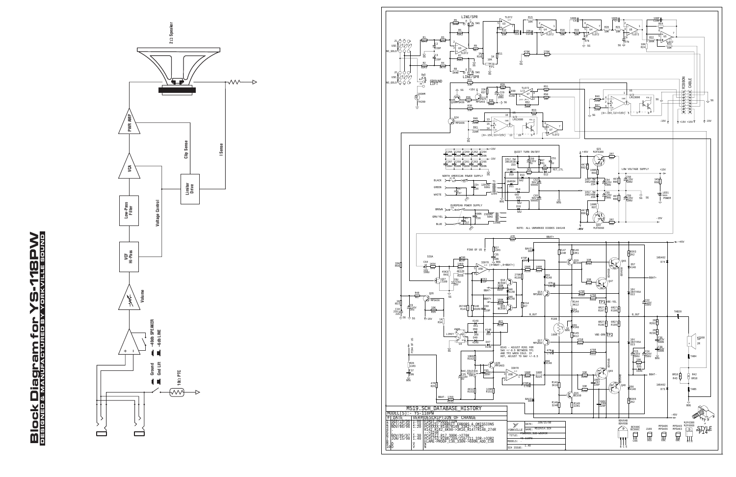# **Block Diagram for YS-118PW Block Diagram for YS-118PW** DESIGNED & MANUFACTURED BY YORKVILLE SOUND



 $\rightarrow$